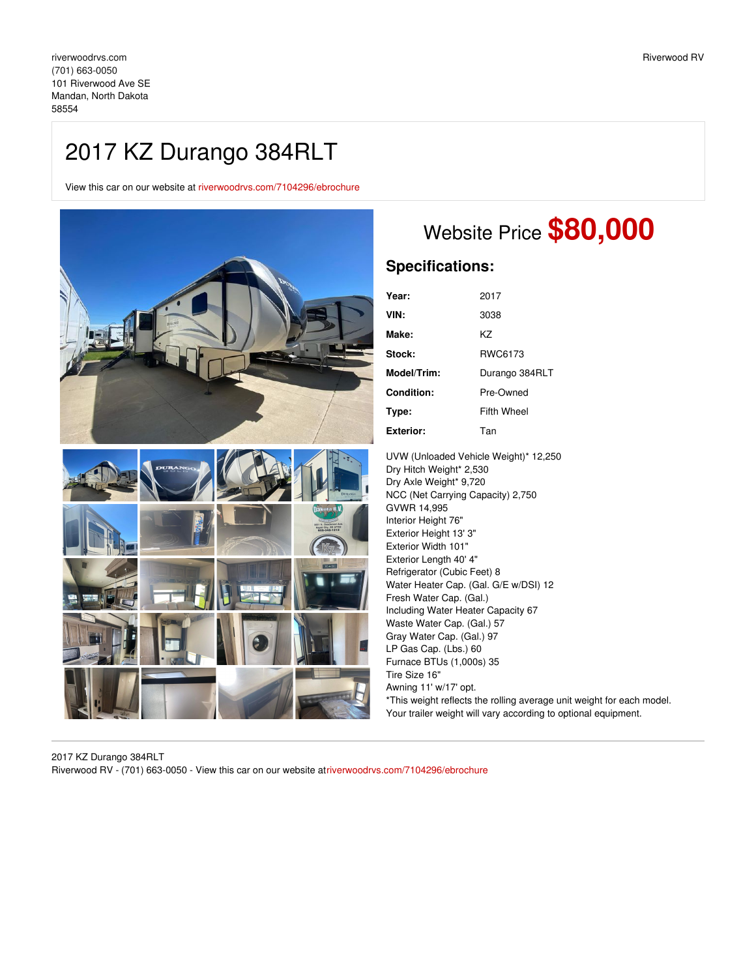## 2017 KZ Durango 384RLT

View this car on our website at [riverwoodrvs.com/7104296/ebrochure](https://riverwoodrvs.com/vehicle/7104296/2017-kz-durango-384rlt-mandan-north-dakota-58554/7104296/ebrochure)



## Website Price **\$80,000**

## **Specifications:**

| Year:            | 2017           |
|------------------|----------------|
| VIN:             | 3038           |
| Make:            | K7             |
| Stock:           | RWC6173        |
| Model/Trim:      | Durango 384RLT |
| Condition:       | Pre-Owned      |
| Type:            | Fifth Wheel    |
| <b>Exterior:</b> | Tan            |

UVW (Unloaded Vehicle Weight)\* 12,250 Dry Hitch Weight\* 2,530 Dry Axle Weight\* 9,720 NCC (Net Carrying Capacity) 2,750 GVWR 14,995 Interior Height 76" Exterior Height 13' 3" Exterior Width 101" Exterior Length 40' 4" Refrigerator (Cubic Feet) 8 Water Heater Cap. (Gal. G/E w/DSI) 12 Fresh Water Cap. (Gal.) Including Water Heater Capacity 67 Waste Water Cap. (Gal.) 57 Gray Water Cap. (Gal.) 97 LP Gas Cap. (Lbs.) 60 Furnace BTUs (1,000s) 35 Tire Size 16" Awning 11' w/17' opt. \*This weight reflects the rolling average unit weight for each model. Your trailer weight will vary according to optional equipment.

2017 KZ Durango 384RLT Riverwood RV - (701) 663-0050 - View this car on our website a[triverwoodrvs.com/7104296/ebrochure](https://riverwoodrvs.com/vehicle/7104296/2017-kz-durango-384rlt-mandan-north-dakota-58554/7104296/ebrochure)